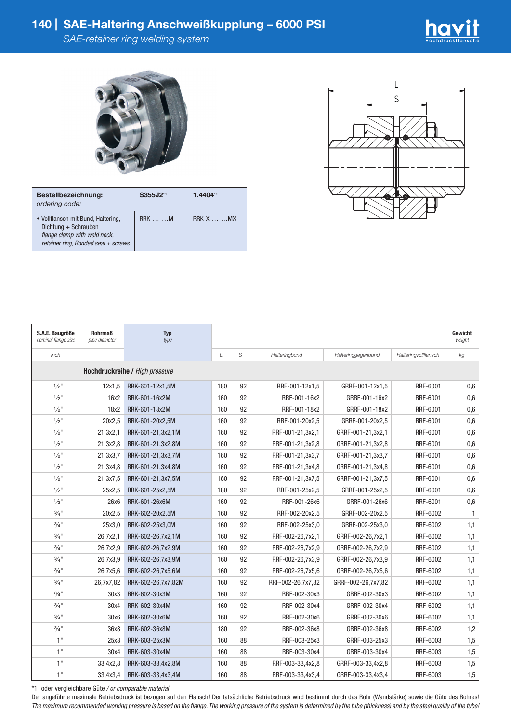

| Bestellbezeichnung:<br>ordering code:                                                                                               | S355J2 <sup>*1</sup> | $1.4404^{*1}$   |
|-------------------------------------------------------------------------------------------------------------------------------------|----------------------|-----------------|
| • Vollflansch mit Bund, Haltering,<br>Dichtung + Schrauben<br>flange clamp with weld neck,<br>retainer ring, Bonded seal $+$ screws | $RRK$ -- $M$         | $RRK-X$ -- $MX$ |



| S.A.E. Baugröße<br>nominal flange size | <b>Rohrmaß</b><br>pipe diameter | <b>Typ</b><br>type |     |    |                   |                    |                      | Gewicht<br>weight |  |
|----------------------------------------|---------------------------------|--------------------|-----|----|-------------------|--------------------|----------------------|-------------------|--|
| Inch                                   |                                 |                    | L   | S  | Halteringbund     | Halteringgegenbund | Halteringvollflansch | kg                |  |
| Hochdruckreihe / High pressure         |                                 |                    |     |    |                   |                    |                      |                   |  |
| $1/2$ "                                | 12x1,5                          | RRK-601-12x1,5M    | 180 | 92 | RRF-001-12x1,5    | GRRF-001-12x1,5    | RRF-6001             | 0,6               |  |
| $1/2$ <sup>11</sup>                    | 16x2                            | RRK-601-16x2M      | 160 | 92 | RRF-001-16x2      | GRRF-001-16x2      | RRF-6001             | 0,6               |  |
| $1/2$ "                                | 18x2                            | RRK-601-18x2M      | 160 | 92 | RRF-001-18x2      | GRRF-001-18x2      | RRF-6001             | 0,6               |  |
| $\frac{1}{2}$ "                        | 20x2,5                          | RRK-601-20x2,5M    | 160 | 92 | RRF-001-20x2,5    | GRRF-001-20x2,5    | RRF-6001             | 0,6               |  |
| $1/2$ "                                | 21,3x2,1                        | RRK-601-21,3x2,1M  | 160 | 92 | RRF-001-21,3x2,1  | GRRF-001-21,3x2,1  | RRF-6001             | 0,6               |  |
| $1/2$ "                                | 21,3x2,8                        | RRK-601-21,3x2,8M  | 160 | 92 | RRF-001-21,3x2,8  | GRRF-001-21,3x2,8  | RRF-6001             | 0,6               |  |
| $1/2$ <sup>11</sup>                    | 21,3x3,7                        | RRK-601-21,3x3,7M  | 160 | 92 | RRF-001-21,3x3,7  | GRRF-001-21,3x3,7  | RRF-6001             | 0,6               |  |
| $1/2$ "                                | 21,3x4,8                        | RRK-601-21,3x4,8M  | 160 | 92 | RRF-001-21,3x4,8  | GRRF-001-21,3x4,8  | RRF-6001             | 0,6               |  |
| $1/2$ "                                | 21,3x7,5                        | RRK-601-21,3x7,5M  | 160 | 92 | RRF-001-21,3x7,5  | GRRF-001-21,3x7.5  | RRF-6001             | 0,6               |  |
| $1/2$ "                                | 25x2,5                          | RRK-601-25x2,5M    | 180 | 92 | RRF-001-25x2,5    | GRRF-001-25x2,5    | RRF-6001             | 0,6               |  |
| $1/2$ "                                | 26x6                            | RRK-601-26x6M      | 160 | 92 | RRF-001-26x6      | GRRF-001-26x6      | RRF-6001             | 0,6               |  |
| $3/4$ <sup>11</sup>                    | 20x2,5                          | RRK-602-20x2,5M    | 160 | 92 | RRF-002-20x2,5    | GRRF-002-20x2,5    | RRF-6002             | 1                 |  |
| $3/4$ <sup>11</sup>                    | 25x3,0                          | RRK-602-25x3,0M    | 160 | 92 | RRF-002-25x3,0    | GRRF-002-25x3,0    | RRF-6002             | 1,1               |  |
| $3/4$ <sup>11</sup>                    | 26,7x2,1                        | RRK-602-26,7x2,1M  | 160 | 92 | RRF-002-26,7x2,1  | GRRF-002-26,7x2,1  | RRF-6002             | 1,1               |  |
| $\frac{3}{4}$ "                        | 26,7x2,9                        | RRK-602-26,7x2,9M  | 160 | 92 | RRF-002-26,7x2,9  | GRRF-002-26,7x2,9  | RRF-6002             | 1,1               |  |
| $\frac{3}{4}$ "                        | 26,7x3,9                        | RRK-602-26,7x3,9M  | 160 | 92 | RRF-002-26,7x3,9  | GRRF-002-26,7x3,9  | RRF-6002             | 1,1               |  |
| $\frac{3}{4}$ "                        | 26,7x5,6                        | RRK-602-26,7x5,6M  | 160 | 92 | RRF-002-26,7x5,6  | GRRF-002-26,7x5,6  | RRF-6002             | 1,1               |  |
| $\frac{3}{4}$ "                        | 26,7x7,82                       | RRK-602-26,7x7,82M | 160 | 92 | RRF-002-26,7x7,82 | GRRF-002-26,7x7,82 | RRF-6002             | 1,1               |  |
| $\frac{3}{4}$ "                        | 30x3                            | RRK-602-30x3M      | 160 | 92 | RRF-002-30x3      | GRRF-002-30x3      | RRF-6002             | 1,1               |  |
| $\frac{3}{4}$ "                        | 30x4                            | RRK-602-30x4M      | 160 | 92 | RRF-002-30x4      | GRRF-002-30x4      | RRF-6002             | 1,1               |  |
| $3/4$ <sup>11</sup>                    | 30x6                            | RRK-602-30x6M      | 160 | 92 | RRF-002-30x6      | GRRF-002-30x6      | RRF-6002             | 1,1               |  |
| $\frac{3}{4}$ "                        | 36x8                            | RRK-602-36x8M      | 180 | 92 | RRF-002-36x8      | GRRF-002-36x8      | RRF-6002             | 1,2               |  |
| 1"                                     | 25x3                            | RRK-603-25x3M      | 160 | 88 | RRF-003-25x3      | GRRF-003-25x3      | RRF-6003             | 1,5               |  |
| 1"                                     | 30x4                            | RRK-603-30x4M      | 160 | 88 | RRF-003-30x4      | GRRF-003-30x4      | RRF-6003             | 1,5               |  |
| 1"                                     | 33,4x2,8                        | RRK-603-33,4x2,8M  | 160 | 88 | RRF-003-33,4x2,8  | GRRF-003-33,4x2,8  | RRF-6003             | 1,5               |  |
| 1"                                     | 33,4x3,4                        | RRK-603-33,4x3,4M  | 160 | 88 | RRF-003-33,4x3,4  | GRRF-003-33,4x3,4  | RRF-6003             | 1,5               |  |

\*1 oder vergleichbare Güte */ or comparable material*

Der angeführte maximale Betriebsdruck ist bezogen auf den Flansch! Der tatsächliche Betriebsdruck wird bestimmt durch das Rohr (Wandstärke) sowie die Güte des Rohres! *The maximum recommended working pressure is based on the flange. The working pressure of the system is determined by the tube (thickness) and by the steel quality of the tube!*